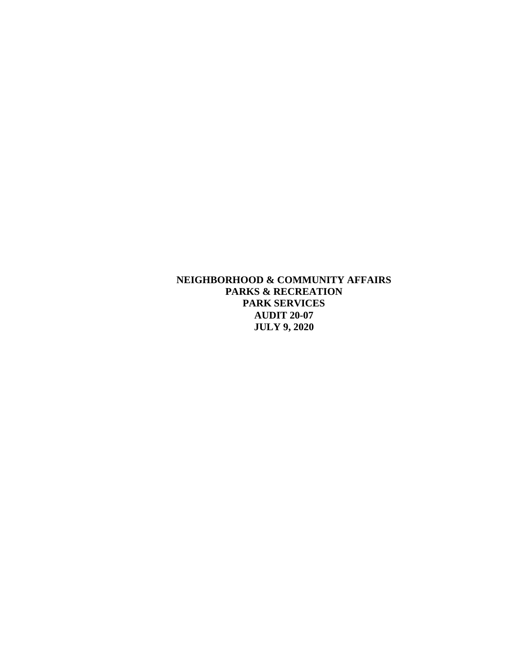**NEIGHBORHOOD & COMMUNITY AFFAIRS PARKS & RECREATION PARK SERVICES AUDIT 20-07 JULY 9, 2020**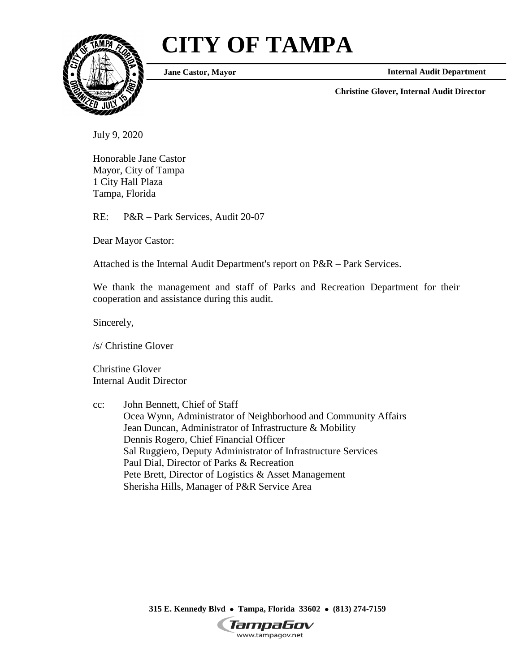# **CITY OF TAMPA**



**Jane Castor, Mayor**

**Internal Audit Department**

**Christine Glover, Internal Audit Director**

July 9, 2020

Honorable Jane Castor Mayor, City of Tampa 1 City Hall Plaza Tampa, Florida

RE: P&R – Park Services, Audit 20-07

Dear Mayor Castor:

Attached is the Internal Audit Department's report on P&R – Park Services.

We thank the management and staff of Parks and Recreation Department for their cooperation and assistance during this audit.

Sincerely,

/s/ Christine Glover

Christine Glover Internal Audit Director

cc: John Bennett, Chief of Staff Ocea Wynn, Administrator of Neighborhood and Community Affairs Jean Duncan, Administrator of Infrastructure & Mobility Dennis Rogero, Chief Financial Officer Sal Ruggiero, Deputy Administrator of Infrastructure Services Paul Dial, Director of Parks & Recreation Pete Brett, Director of Logistics & Asset Management Sherisha Hills, Manager of P&R Service Area

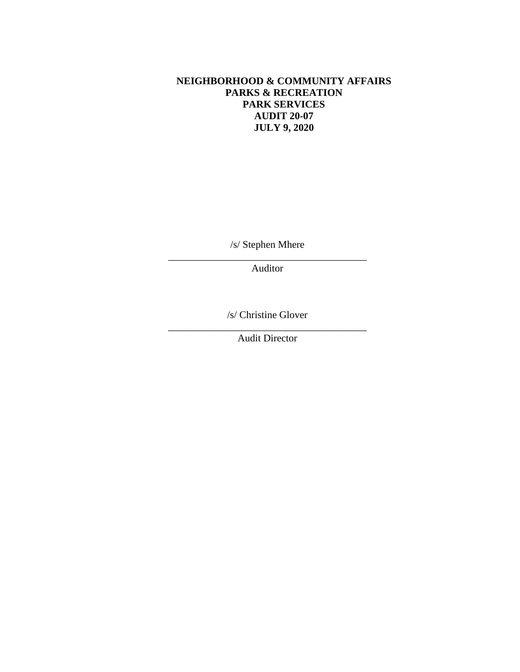# **NEIGHBORHOOD & COMMUNITY AFFAIRS PARKS & RECREATION PARK SERVICES AUDIT 20-07 JULY 9, 2020**

/s/ Stephen Mhere \_\_\_\_\_\_\_\_\_\_\_\_\_\_\_\_\_\_\_\_\_\_\_\_\_\_\_\_\_\_\_\_\_\_\_\_\_\_\_

Auditor

/s/ Christine Glover \_\_\_\_\_\_\_\_\_\_\_\_\_\_\_\_\_\_\_\_\_\_\_\_\_\_\_\_\_\_\_\_\_\_\_\_\_\_\_

Audit Director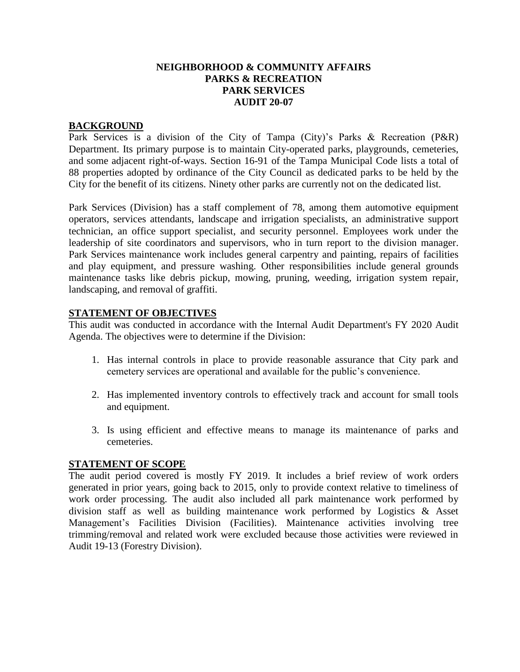#### **NEIGHBORHOOD & COMMUNITY AFFAIRS PARKS & RECREATION PARK SERVICES AUDIT 20-07**

#### **BACKGROUND**

Park Services is a division of the City of Tampa (City)'s Parks & Recreation (P&R) Department. Its primary purpose is to maintain City-operated parks, playgrounds, cemeteries, and some adjacent right-of-ways. Section 16-91 of the Tampa Municipal Code lists a total of 88 properties adopted by ordinance of the City Council as dedicated parks to be held by the City for the benefit of its citizens. Ninety other parks are currently not on the dedicated list.

Park Services (Division) has a staff complement of 78, among them automotive equipment operators, services attendants, landscape and irrigation specialists, an administrative support technician, an office support specialist, and security personnel. Employees work under the leadership of site coordinators and supervisors, who in turn report to the division manager. Park Services maintenance work includes general carpentry and painting, repairs of facilities and play equipment, and pressure washing. Other responsibilities include general grounds maintenance tasks like debris pickup, mowing, pruning, weeding, irrigation system repair, landscaping, and removal of graffiti.

#### **STATEMENT OF OBJECTIVES**

This audit was conducted in accordance with the Internal Audit Department's FY 2020 Audit Agenda. The objectives were to determine if the Division:

- 1. Has internal controls in place to provide reasonable assurance that City park and cemetery services are operational and available for the public's convenience.
- 2. Has implemented inventory controls to effectively track and account for small tools and equipment.
- 3. Is using efficient and effective means to manage its maintenance of parks and cemeteries.

#### **STATEMENT OF SCOPE**

The audit period covered is mostly FY 2019. It includes a brief review of work orders generated in prior years, going back to 2015, only to provide context relative to timeliness of work order processing. The audit also included all park maintenance work performed by division staff as well as building maintenance work performed by Logistics & Asset Management's Facilities Division (Facilities). Maintenance activities involving tree trimming/removal and related work were excluded because those activities were reviewed in Audit 19-13 (Forestry Division).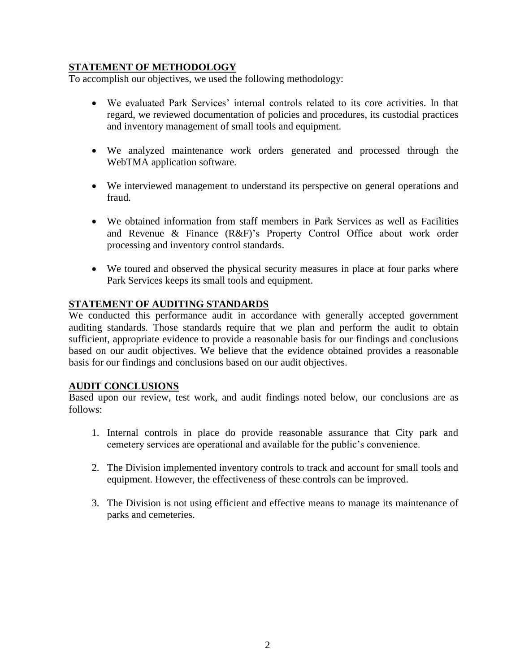# **STATEMENT OF METHODOLOGY**

To accomplish our objectives, we used the following methodology:

- We evaluated Park Services' internal controls related to its core activities. In that regard, we reviewed documentation of policies and procedures, its custodial practices and inventory management of small tools and equipment.
- We analyzed maintenance work orders generated and processed through the WebTMA application software.
- We interviewed management to understand its perspective on general operations and fraud.
- We obtained information from staff members in Park Services as well as Facilities and Revenue & Finance (R&F)'s Property Control Office about work order processing and inventory control standards.
- We toured and observed the physical security measures in place at four parks where Park Services keeps its small tools and equipment.

## **STATEMENT OF AUDITING STANDARDS**

We conducted this performance audit in accordance with generally accepted government auditing standards. Those standards require that we plan and perform the audit to obtain sufficient, appropriate evidence to provide a reasonable basis for our findings and conclusions based on our audit objectives. We believe that the evidence obtained provides a reasonable basis for our findings and conclusions based on our audit objectives.

## **AUDIT CONCLUSIONS**

Based upon our review, test work, and audit findings noted below, our conclusions are as follows:

- 1. Internal controls in place do provide reasonable assurance that City park and cemetery services are operational and available for the public's convenience.
- 2. The Division implemented inventory controls to track and account for small tools and equipment. However, the effectiveness of these controls can be improved.
- 3. The Division is not using efficient and effective means to manage its maintenance of parks and cemeteries.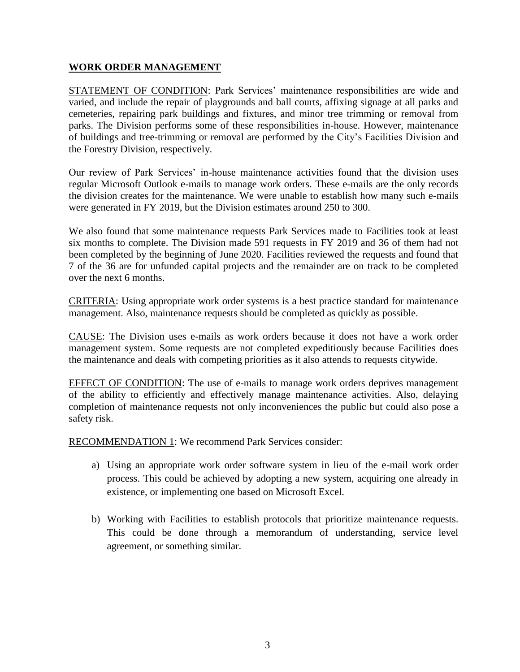#### **WORK ORDER MANAGEMENT**

STATEMENT OF CONDITION: Park Services' maintenance responsibilities are wide and varied, and include the repair of playgrounds and ball courts, affixing signage at all parks and cemeteries, repairing park buildings and fixtures, and minor tree trimming or removal from parks. The Division performs some of these responsibilities in-house. However, maintenance of buildings and tree-trimming or removal are performed by the City's Facilities Division and the Forestry Division, respectively.

Our review of Park Services' in-house maintenance activities found that the division uses regular Microsoft Outlook e-mails to manage work orders. These e-mails are the only records the division creates for the maintenance. We were unable to establish how many such e-mails were generated in FY 2019, but the Division estimates around 250 to 300.

We also found that some maintenance requests Park Services made to Facilities took at least six months to complete. The Division made 591 requests in FY 2019 and 36 of them had not been completed by the beginning of June 2020. Facilities reviewed the requests and found that 7 of the 36 are for unfunded capital projects and the remainder are on track to be completed over the next 6 months.

CRITERIA: Using appropriate work order systems is a best practice standard for maintenance management. Also, maintenance requests should be completed as quickly as possible.

CAUSE: The Division uses e-mails as work orders because it does not have a work order management system. Some requests are not completed expeditiously because Facilities does the maintenance and deals with competing priorities as it also attends to requests citywide.

EFFECT OF CONDITION: The use of e-mails to manage work orders deprives management of the ability to efficiently and effectively manage maintenance activities. Also, delaying completion of maintenance requests not only inconveniences the public but could also pose a safety risk.

RECOMMENDATION 1: We recommend Park Services consider:

- a) Using an appropriate work order software system in lieu of the e-mail work order process. This could be achieved by adopting a new system, acquiring one already in existence, or implementing one based on Microsoft Excel.
- b) Working with Facilities to establish protocols that prioritize maintenance requests. This could be done through a memorandum of understanding, service level agreement, or something similar.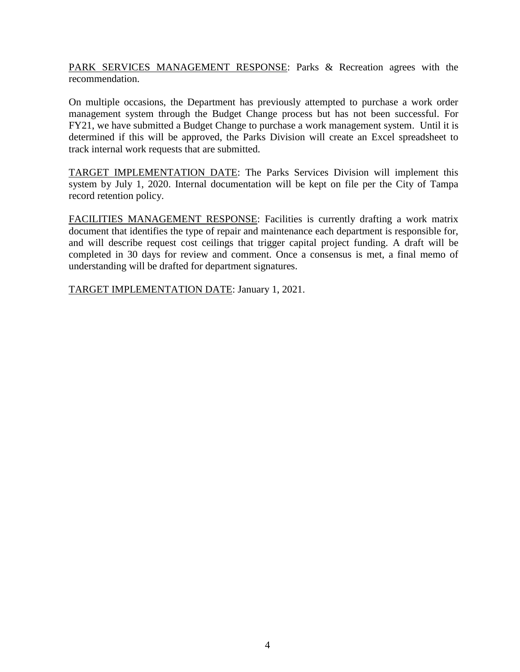PARK SERVICES MANAGEMENT RESPONSE: Parks & Recreation agrees with the recommendation.

On multiple occasions, the Department has previously attempted to purchase a work order management system through the Budget Change process but has not been successful. For FY21, we have submitted a Budget Change to purchase a work management system. Until it is determined if this will be approved, the Parks Division will create an Excel spreadsheet to track internal work requests that are submitted.

TARGET IMPLEMENTATION DATE: The Parks Services Division will implement this system by July 1, 2020. Internal documentation will be kept on file per the City of Tampa record retention policy.

FACILITIES MANAGEMENT RESPONSE: Facilities is currently drafting a work matrix document that identifies the type of repair and maintenance each department is responsible for, and will describe request cost ceilings that trigger capital project funding. A draft will be completed in 30 days for review and comment. Once a consensus is met, a final memo of understanding will be drafted for department signatures.

TARGET IMPLEMENTATION DATE: January 1, 2021.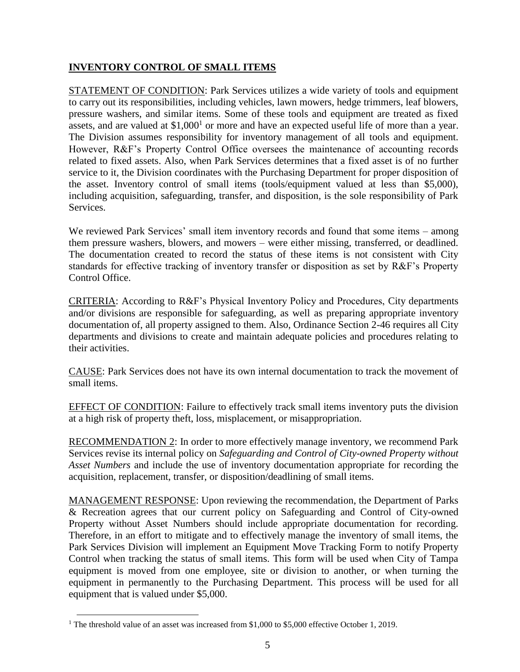# **INVENTORY CONTROL OF SMALL ITEMS**

STATEMENT OF CONDITION: Park Services utilizes a wide variety of tools and equipment to carry out its responsibilities, including vehicles, lawn mowers, hedge trimmers, leaf blowers, pressure washers, and similar items. Some of these tools and equipment are treated as fixed assets, and are valued at  $$1,000<sup>1</sup>$  or more and have an expected useful life of more than a year. The Division assumes responsibility for inventory management of all tools and equipment. However, R&F's Property Control Office oversees the maintenance of accounting records related to fixed assets. Also, when Park Services determines that a fixed asset is of no further service to it, the Division coordinates with the Purchasing Department for proper disposition of the asset. Inventory control of small items (tools/equipment valued at less than \$5,000), including acquisition, safeguarding, transfer, and disposition, is the sole responsibility of Park **Services** 

We reviewed Park Services' small item inventory records and found that some items – among them pressure washers, blowers, and mowers – were either missing, transferred, or deadlined. The documentation created to record the status of these items is not consistent with City standards for effective tracking of inventory transfer or disposition as set by R&F's Property Control Office.

CRITERIA: According to R&F's Physical Inventory Policy and Procedures, City departments and/or divisions are responsible for safeguarding, as well as preparing appropriate inventory documentation of, all property assigned to them. Also, Ordinance Section 2-46 requires all City departments and divisions to create and maintain adequate policies and procedures relating to their activities.

CAUSE: Park Services does not have its own internal documentation to track the movement of small items.

EFFECT OF CONDITION: Failure to effectively track small items inventory puts the division at a high risk of property theft, loss, misplacement, or misappropriation.

RECOMMENDATION 2: In order to more effectively manage inventory, we recommend Park Services revise its internal policy on *Safeguarding and Control of City-owned Property without Asset Numbers* and include the use of inventory documentation appropriate for recording the acquisition, replacement, transfer, or disposition/deadlining of small items.

MANAGEMENT RESPONSE: Upon reviewing the recommendation, the Department of Parks & Recreation agrees that our current policy on Safeguarding and Control of City-owned Property without Asset Numbers should include appropriate documentation for recording. Therefore, in an effort to mitigate and to effectively manage the inventory of small items, the Park Services Division will implement an Equipment Move Tracking Form to notify Property Control when tracking the status of small items. This form will be used when City of Tampa equipment is moved from one employee, site or division to another, or when turning the equipment in permanently to the Purchasing Department. This process will be used for all equipment that is valued under \$5,000.

 $\overline{a}$ 

<sup>&</sup>lt;sup>1</sup> The threshold value of an asset was increased from \$1,000 to \$5,000 effective October 1, 2019.